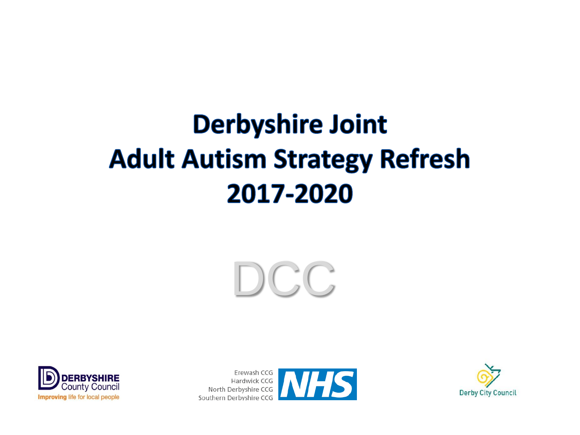# **Derbyshire Joint Adult Autism Strategy Refresh** 2017-2020





Erewash CCG Hardwick CCG North Derbyshire CCG Southern Derbyshire CCG



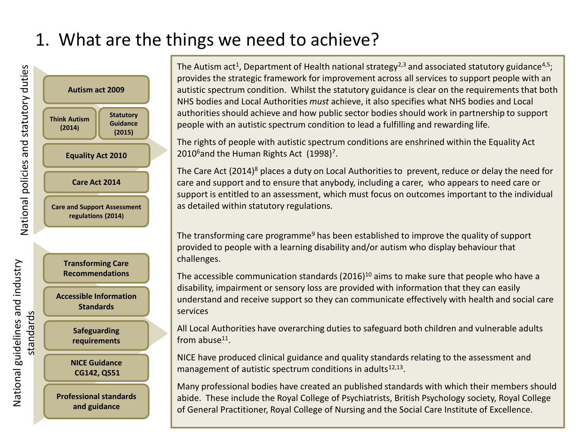# 1. What are the things we need to achieve?



The Autism act<sup>1</sup>, Department of Health national strategy<sup>2,3</sup> and associated statutory guidance<sup>4,5</sup>; provides the strategic framework for improvement across all services to support people with an autistic spectrum condition. Whilst the statutory guidance is clear on the requirements that both NHS bodies and Local Authorities *must* achieve, it also specifies what NHS bodies and Local authorities should achieve and how public sector bodies should work in partnership to support people with an autistic spectrum condition to lead a fulfilling and rewarding life.

The rights of people with autistic spectrum conditions are enshrined within the Equality Act 2010<sup>6</sup> and the Human Rights Act (1998)<sup>7</sup>.

The Care Act  $(2014)^8$  places a duty on Local Authorities to prevent, reduce or delay the need for care and support and to ensure that anybody, including a carer, who appears to need care or support is entitled to an assessment, which must focus on outcomes important to the individual as detailed within statutory regulations.

The transforming care programme<sup>9</sup> has been established to improve the quality of support provided to people with a learning disability and/or autism who display behaviour that challenges.

The accessible communication standards (2016)<sup>10</sup> aims to make sure that people who have a disability, impairment or sensory loss are provided with information that they can easily understand and receive support so they can communicate effectively with health and social care services

All Local Authorities have overarching duties to safeguard both children and vulnerable adults from abuse<sup>11</sup>.

NICE have produced clinical guidance and quality standards relating to the assessment and management of autistic spectrum conditions in adults<sup>12,13</sup>.

Many professional bodies have created an published standards with which their members should abide. These include the Royal College of Psychiatrists, British Psychology society, Royal College of General Practitioner, Royal College of Nursing and the Social Care Institute of Excellence.

National guidelines and industry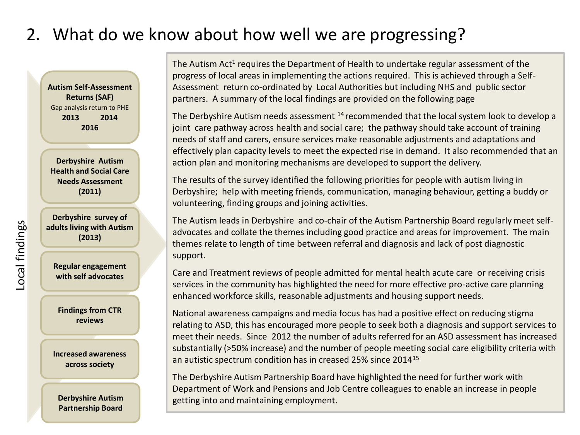### 2. What do we know about how well we are progressing?

**Autism Self-Assessment Returns (SAF)**  Gap analysis return to PHE **2013 2014 2016**

**Derbyshire Autism Health and Social Care Needs Assessment (2011)**

**Derbyshire survey of adults living with Autism (2013)**

**Regular engagement with self advocates**

**Findings from CTR reviews**

**Increased awareness across society**

**Derbyshire Autism Partnership Board** 

The Autism Act<sup>1</sup> requires the Department of Health to undertake regular assessment of the progress of local areas in implementing the actions required. This is achieved through a Self-Assessment return co-ordinated by Local Authorities but including NHS and public sector partners. A summary of the local findings are provided on the following page

The Derbyshire Autism needs assessment <sup>14</sup> recommended that the local system look to develop a joint care pathway across health and social care; the pathway should take account of training needs of staff and carers, ensure services make reasonable adjustments and adaptations and effectively plan capacity levels to meet the expected rise in demand. It also recommended that an action plan and monitoring mechanisms are developed to support the delivery.

The results of the survey identified the following priorities for people with autism living in Derbyshire; help with meeting friends, communication, managing behaviour, getting a buddy or volunteering, finding groups and joining activities.

The Autism leads in Derbyshire and co-chair of the Autism Partnership Board regularly meet selfadvocates and collate the themes including good practice and areas for improvement. The main themes relate to length of time between referral and diagnosis and lack of post diagnostic support.

Care and Treatment reviews of people admitted for mental health acute care or receiving crisis services in the community has highlighted the need for more effective pro-active care planning enhanced workforce skills, reasonable adjustments and housing support needs.

National awareness campaigns and media focus has had a positive effect on reducing stigma relating to ASD, this has encouraged more people to seek both a diagnosis and support services to meet their needs. Since 2012 the number of adults referred for an ASD assessment has increased substantially (>50% increase) and the number of people meeting social care eligibility criteria with an autistic spectrum condition has in creased 25% since 2014<sup>15</sup>

The Derbyshire Autism Partnership Board have highlighted the need for further work with Department of Work and Pensions and Job Centre colleagues to enable an increase in people getting into and maintaining employment.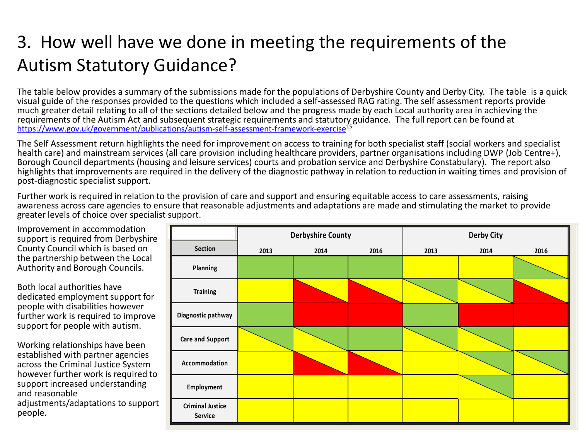# 3. How well have we done in meeting the requirements of the Autism Statutory Guidance?

The table below provides a summary of the submissions made for the populations of Derbyshire County and Derby City. The table is a quick visual guide of the responses provided to the questions which included a self-assessed RAG rating. The self assessment reports provide much greater detail relating to all of the sections detailed below and the progress made by each Local authority area in achieving the requirements of the Autism Act and subsequent strategic requirements and statutory guidance. The full report can be found at <https://www.gov.uk/government/publications/autism-self-assessment-framework-exercise><sup>15</sup>

The Self Assessment return highlights the need for improvement on access to training for both specialist staff (social workers and specialist health care) and mainstream services (all care provision including healthcare providers, partner organisations including DWP (Job Centre+), Borough Council departments (housing and leisure services) courts and probation service and Derbyshire Constabulary). The report also highlights that improvements are required in the delivery of the diagnostic pathway in relation to reduction in waiting times and provision of post-diagnostic specialist support.

Further work is required in relation to the provision of care and support and ensuring equitable access to care assessments, raising awareness across care agencies to ensure that reasonable adjustments and adaptations are made and stimulating the market to provide greater levels of choice over specialist support.

Improvement in accommodation support is required from Derbyshire County Council which is based on the partnership between the Local Authority and Borough Councils.

Both local authorities have dedicated employment support for people with disabilities however further work is required to improve support for people with autism.

Working relationships have been established with partner agencies across the Criminal Justice System however further work is required to support increased understanding and reasonable adjustments/adaptations to support people.

|                                    | <b>Derbyshire County</b> |      |      | <b>Derby City</b> |      |      |
|------------------------------------|--------------------------|------|------|-------------------|------|------|
| Section                            | 2013                     | 2014 | 2016 | 2013              | 2014 | 2016 |
| Planning                           |                          |      |      |                   |      |      |
| <b>Training</b>                    |                          |      |      |                   |      |      |
| Diagnostic pathway                 |                          |      |      |                   |      |      |
| <b>Care and Support</b>            |                          |      |      |                   |      |      |
| Accommodation                      |                          |      |      |                   |      |      |
| Employment                         |                          |      |      |                   |      |      |
| <b>Criminal Justice</b><br>Service |                          |      |      |                   |      |      |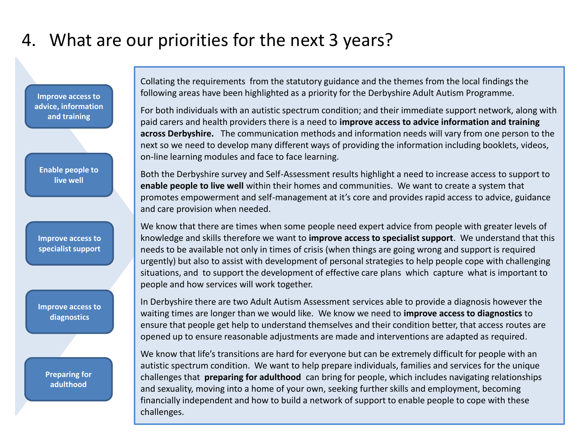# 4. What are our priorities for the next 3 years?

**Improve access to advice, information and training**

**Enable people to live well**

**Improve access to specialist support**

**Improve access to diagnostics**

> **Preparing for adulthood**

Collating the requirements from the statutory guidance and the themes from the local findings the following areas have been highlighted as a priority for the Derbyshire Adult Autism Programme.

For both individuals with an autistic spectrum condition; and their immediate support network, along with paid carers and health providers there is a need to **improve access to advice information and training across Derbyshire.** The communication methods and information needs will vary from one person to the next so we need to develop many different ways of providing the information including booklets, videos, on-line learning modules and face to face learning.

Both the Derbyshire survey and Self-Assessment results highlight a need to increase access to support to **enable people to live well** within their homes and communities. We want to create a system that promotes empowerment and self-management at it's core and provides rapid access to advice, guidance and care provision when needed.

We know that there are times when some people need expert advice from people with greater levels of knowledge and skills therefore we want to **improve access to specialist support**. We understand that this needs to be available not only in times of crisis (when things are going wrong and support is required urgently) but also to assist with development of personal strategies to help people cope with challenging situations, and to support the development of effective care plans which capture what is important to people and how services will work together.

In Derbyshire there are two Adult Autism Assessment services able to provide a diagnosis however the waiting times are longer than we would like. We know we need to **improve access to diagnostics** to ensure that people get help to understand themselves and their condition better, that access routes are opened up to ensure reasonable adjustments are made and interventions are adapted as required.

We know that life's transitions are hard for everyone but can be extremely difficult for people with an autistic spectrum condition. We want to help prepare individuals, families and services for the unique challenges that **preparing for adulthood** can bring for people, which includes navigating relationships and sexuality, moving into a home of your own, seeking further skills and employment, becoming financially independent and how to build a network of support to enable people to cope with these challenges.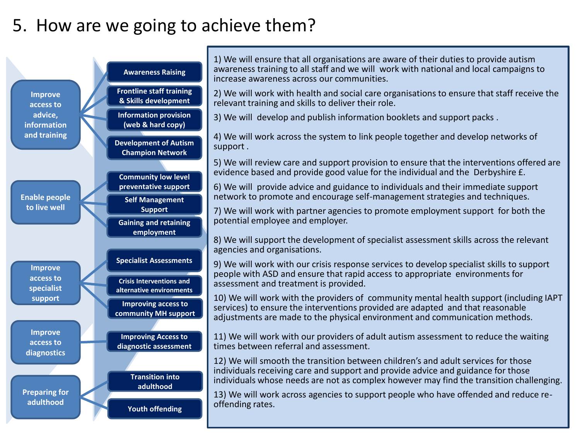## 5. How are we going to achieve them?

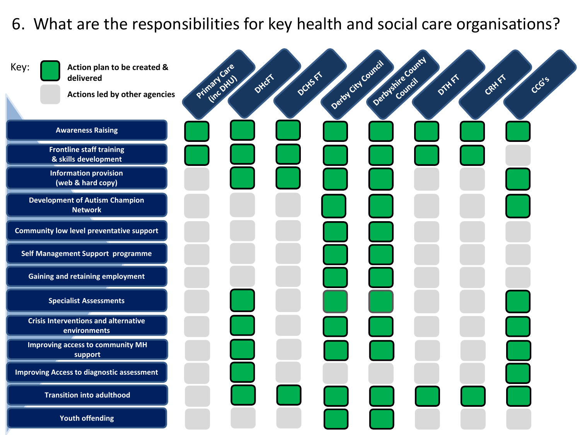#### 6. What are the responsibilities for key health and social care organisations?

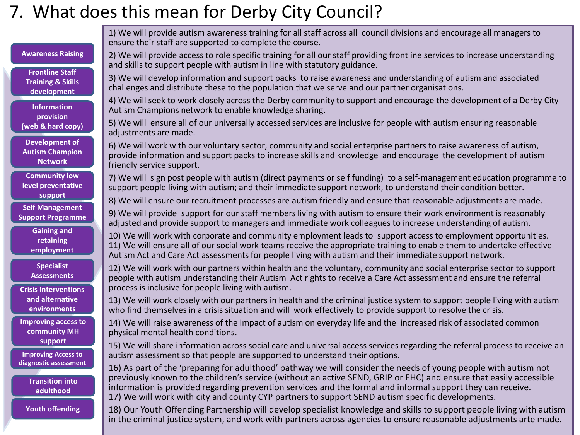## 7. What does this mean for Derby City Council?

**Awareness Raising Frontline Staff Training & Skills development Information provision (web & hard copy) Community low level preventative support Gaining and retaining employment Self Management Support Programme Improving Access to diagnostic assessment Development of Autism Champion Network Specialist Assessments Transition into adulthood Crisis Interventions and alternative environments Youth offending Improving access to community MH support** 1) We will provide autism awareness training for all staff across all council divisions and encourage all managers to ensure their staff are supported to complete the course. 2) We will provide access to role specific training for all our staff providing frontline services to increase understanding and skills to support people with autism in line with statutory guidance. 3) We will develop information and support packs to raise awareness and understanding of autism and associated challenges and distribute these to the population that we serve and our partner organisations. 4) We will seek to work closely across the Derby community to support and encourage the development of a Derby City Autism Champions network to enable knowledge sharing. 5) We will ensure all of our universally accessed services are inclusive for people with autism ensuring reasonable adjustments are made. 6) We will work with our voluntary sector, community and social enterprise partners to raise awareness of autism, provide information and support packs to increase skills and knowledge and encourage the development of autism friendly service support. 7) We will sign post people with autism (direct payments or self funding) to a self-management education programme to support people living with autism; and their immediate support network, to understand their condition better. 8) We will ensure our recruitment processes are autism friendly and ensure that reasonable adjustments are made. 9) We will provide support for our staff members living with autism to ensure their work environment is reasonably adjusted and provide support to managers and immediate work colleagues to increase understanding of autism. 10) We will work with corporate and community employment leads to support access to employment opportunities. 11) We will ensure all of our social work teams receive the appropriate training to enable them to undertake effective Autism Act and Care Act assessments for people living with autism and their immediate support network. 12) We will work with our partners within health and the voluntary, community and social enterprise sector to support people with autism understanding their Autism Act rights to receive a Care Act assessment and ensure the referral process is inclusive for people living with autism. 13) We will work closely with our partners in health and the criminal justice system to support people living with autism who find themselves in a crisis situation and will work effectively to provide support to resolve the crisis. 14) We will raise awareness of the impact of autism on everyday life and the increased risk of associated common physical mental health conditions. 15) We will share information across social care and universal access services regarding the referral process to receive an autism assessment so that people are supported to understand their options. 16) As part of the 'preparing for adulthood' pathway we will consider the needs of young people with autism not previously known to the children's service (without an active SEND, GRIP or EHC) and ensure that easily accessible information is provided regarding prevention services and the formal and informal support they can receive. 17) We will work with city and county CYP partners to support SEND autism specific developments. 18) Our Youth Offending Partnership will develop specialist knowledge and skills to support people living with autism in the criminal justice system, and work with partners across agencies to ensure reasonable adjustments arte made.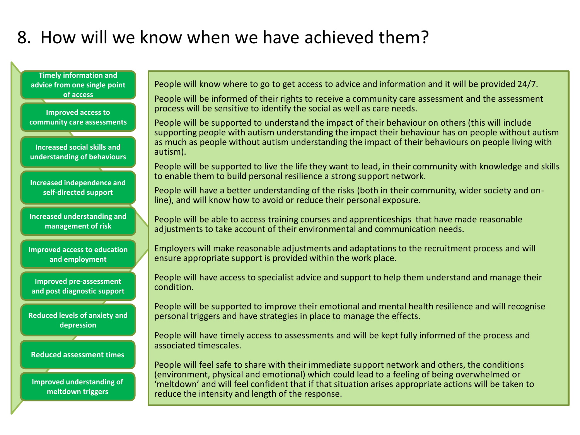# 8. How will we know when we have achieved them?

**Timely information and advice from one single point of access**

**Improved access to community care assessments**

**Increased social skills and understanding of behaviours**

**Increased independence and self-directed support**

**Increased understanding and management of risk**

**Improved access to education and employment**

**Improved pre-assessment and post diagnostic support**

**Reduced levels of anxiety and depression**

**Reduced assessment times**

**Improved understanding of meltdown triggers**

People will know where to go to get access to advice and information and it will be provided 24/7.

People will be informed of their rights to receive a community care assessment and the assessment process will be sensitive to identify the social as well as care needs.

People will be supported to understand the impact of their behaviour on others (this will include supporting people with autism understanding the impact their behaviour has on people without autism as much as people without autism understanding the impact of their behaviours on people living with autism).

People will be supported to live the life they want to lead, in their community with knowledge and skills to enable them to build personal resilience a strong support network.

People will have a better understanding of the risks (both in their community, wider society and online), and will know how to avoid or reduce their personal exposure.

People will be able to access training courses and apprenticeships that have made reasonable adjustments to take account of their environmental and communication needs.

Employers will make reasonable adjustments and adaptations to the recruitment process and will ensure appropriate support is provided within the work place.

People will have access to specialist advice and support to help them understand and manage their condition.

People will be supported to improve their emotional and mental health resilience and will recognise personal triggers and have strategies in place to manage the effects.

People will have timely access to assessments and will be kept fully informed of the process and associated timescales.

People will feel safe to share with their immediate support network and others, the conditions (environment, physical and emotional) which could lead to a feeling of being overwhelmed or 'meltdown' and will feel confident that if that situation arises appropriate actions will be taken to reduce the intensity and length of the response.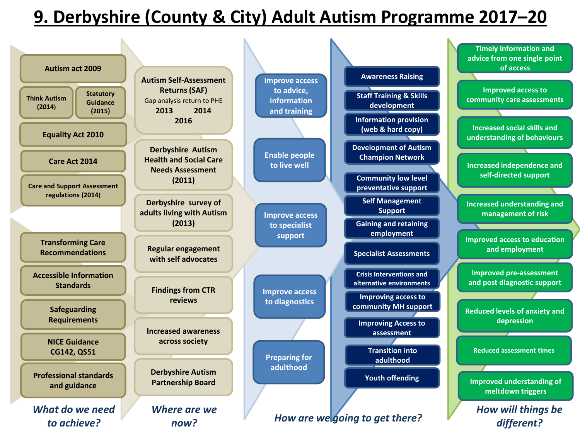# **9. Derbyshire (County & City) Adult Autism Programme 2017–20**